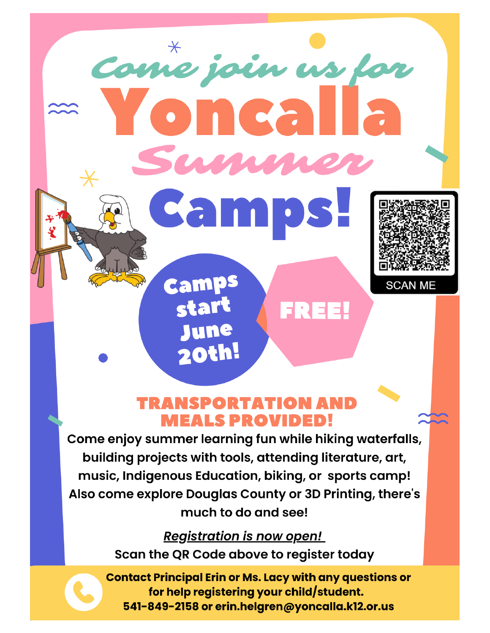m

FREEL

**Camps** 

start

June

20th!

Come join us for



**TRANSPORTATION AND MEALS PROVIDED!** 

Come enjoy summer learning fun while hiking waterfalls, building projects with tools, attending literature, art, music, Indigenous Education, biking, or sports camp! Also come explore Douglas County or 3D Printing, there's much to do and see!

> **Registration is now open!** Scan the QR Code above to register today

**Contact Principal Erin or Ms. Lacy with any questions or** for help registering your child/student. 541-849-2158 or erin.helgren@yoncalla.k12.or.us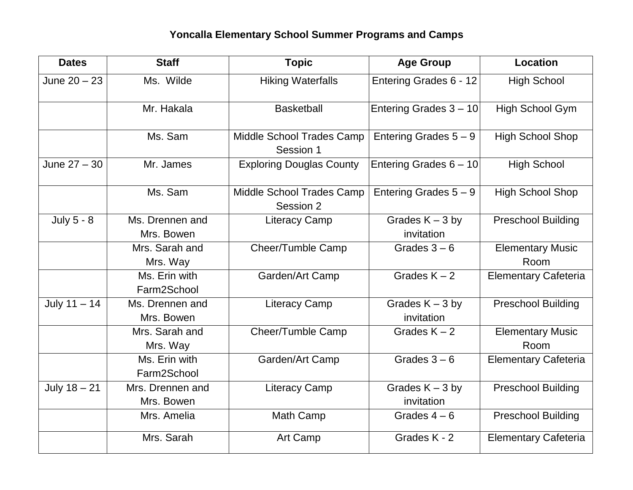## **Yoncalla Elementary School Summer Programs and Camps**

| <b>Dates</b>   | <b>Staff</b>                   | <b>Topic</b>                           | <b>Age Group</b>                | <b>Location</b>                 |
|----------------|--------------------------------|----------------------------------------|---------------------------------|---------------------------------|
| June $20 - 23$ | Ms. Wilde                      | <b>Hiking Waterfalls</b>               | Entering Grades 6 - 12          | <b>High School</b>              |
|                | Mr. Hakala                     | <b>Basketball</b>                      | Entering Grades 3 - 10          | High School Gym                 |
|                | Ms. Sam                        | Middle School Trades Camp<br>Session 1 | Entering Grades $5 - 9$         | <b>High School Shop</b>         |
| June $27 - 30$ | Mr. James                      | <b>Exploring Douglas County</b>        | Entering Grades 6 - 10          | <b>High School</b>              |
|                | Ms. Sam                        | Middle School Trades Camp<br>Session 2 | Entering Grades $5 - 9$         | <b>High School Shop</b>         |
| July 5 - 8     | Ms. Drennen and<br>Mrs. Bowen  | <b>Literacy Camp</b>                   | Grades $K - 3$ by<br>invitation | <b>Preschool Building</b>       |
|                | Mrs. Sarah and<br>Mrs. Way     | Cheer/Tumble Camp                      | Grades $3-6$                    | <b>Elementary Music</b><br>Room |
|                | Ms. Erin with<br>Farm2School   | Garden/Art Camp                        | Grades $K - 2$                  | <b>Elementary Cafeteria</b>     |
| July $11 - 14$ | Ms. Drennen and<br>Mrs. Bowen  | <b>Literacy Camp</b>                   | Grades $K - 3$ by<br>invitation | <b>Preschool Building</b>       |
|                | Mrs. Sarah and<br>Mrs. Way     | <b>Cheer/Tumble Camp</b>               | Grades $K - 2$                  | <b>Elementary Music</b><br>Room |
|                | Ms. Erin with<br>Farm2School   | Garden/Art Camp                        | Grades $3-6$                    | <b>Elementary Cafeteria</b>     |
| July $18 - 21$ | Mrs. Drennen and<br>Mrs. Bowen | <b>Literacy Camp</b>                   | Grades $K - 3$ by<br>invitation | <b>Preschool Building</b>       |
|                | Mrs. Amelia                    | <b>Math Camp</b>                       | Grades $4-6$                    | <b>Preschool Building</b>       |
|                | Mrs. Sarah                     | Art Camp                               | Grades K - 2                    | <b>Elementary Cafeteria</b>     |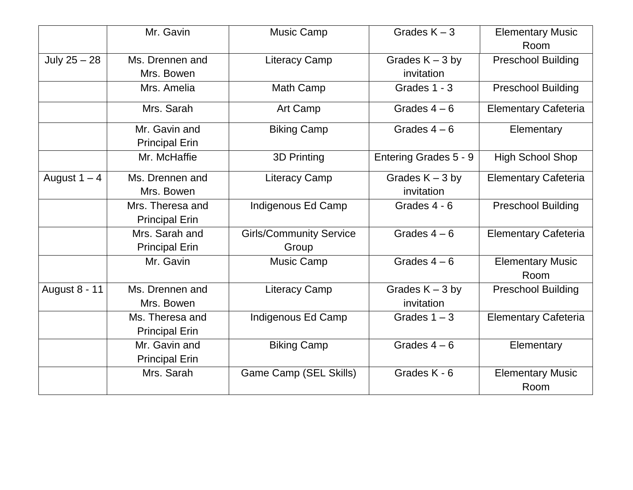|                      | Mr. Gavin                                 | <b>Music Camp</b>                       | Grades $K - 3$                  | <b>Elementary Music</b><br>Room |
|----------------------|-------------------------------------------|-----------------------------------------|---------------------------------|---------------------------------|
| July $25 - 28$       | Ms. Drennen and<br>Mrs. Bowen             | <b>Literacy Camp</b>                    | Grades $K - 3$ by<br>invitation | <b>Preschool Building</b>       |
|                      | Mrs. Amelia                               | Math Camp                               | Grades 1 - 3                    | <b>Preschool Building</b>       |
|                      | Mrs. Sarah                                | Art Camp                                | Grades $4-6$                    | <b>Elementary Cafeteria</b>     |
|                      | Mr. Gavin and<br><b>Principal Erin</b>    | <b>Biking Camp</b>                      | Grades $4-6$                    | Elementary                      |
|                      | Mr. McHaffie                              | <b>3D Printing</b>                      | Entering Grades 5 - 9           | <b>High School Shop</b>         |
| August $1 - 4$       | Ms. Drennen and<br>Mrs. Bowen             | <b>Literacy Camp</b>                    | Grades $K - 3$ by<br>invitation | <b>Elementary Cafeteria</b>     |
|                      | Mrs. Theresa and<br><b>Principal Erin</b> | Indigenous Ed Camp                      | Grades 4 - 6                    | <b>Preschool Building</b>       |
|                      | Mrs. Sarah and<br><b>Principal Erin</b>   | <b>Girls/Community Service</b><br>Group | Grades $4-6$                    | <b>Elementary Cafeteria</b>     |
|                      | Mr. Gavin                                 | <b>Music Camp</b>                       | Grades $4-6$                    | <b>Elementary Music</b><br>Room |
| <b>August 8 - 11</b> | Ms. Drennen and<br>Mrs. Bowen             | <b>Literacy Camp</b>                    | Grades $K - 3$ by<br>invitation | <b>Preschool Building</b>       |
|                      | Ms. Theresa and<br><b>Principal Erin</b>  | Indigenous Ed Camp                      | Grades $1 - 3$                  | <b>Elementary Cafeteria</b>     |
|                      | Mr. Gavin and<br><b>Principal Erin</b>    | <b>Biking Camp</b>                      | Grades $4-6$                    | Elementary                      |
|                      | Mrs. Sarah                                | Game Camp (SEL Skills)                  | Grades K - 6                    | <b>Elementary Music</b><br>Room |